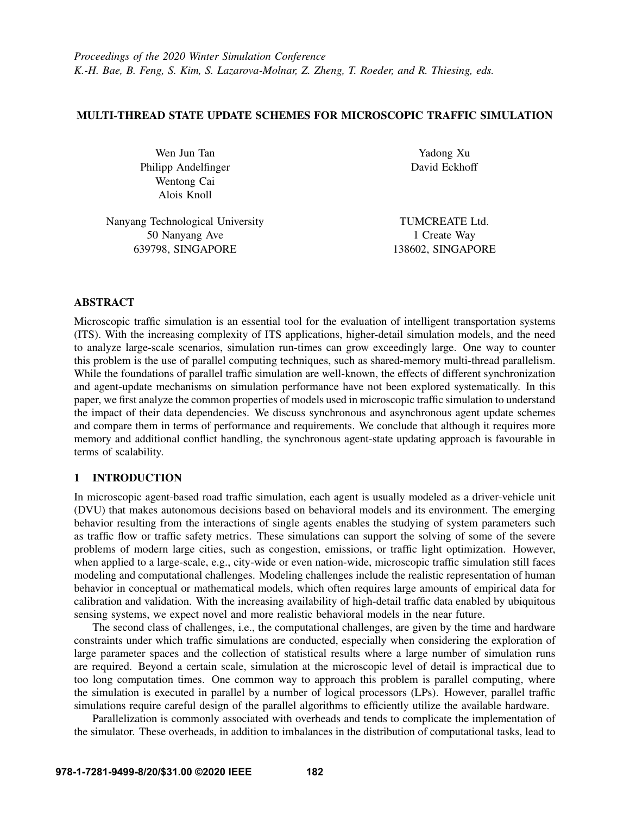# MULTI-THREAD STATE UPDATE SCHEMES FOR MICROSCOPIC TRAFFIC SIMULATION

Wen Jun Tan Philipp Andelfinger Wentong Cai Alois Knoll

Yadong Xu David Eckhoff

Nanyang Technological University 50 Nanyang Ave 639798, SINGAPORE

TUMCREATE Ltd. 1 Create Way 138602, SINGAPORE

# ABSTRACT

Microscopic traffic simulation is an essential tool for the evaluation of intelligent transportation systems (ITS). With the increasing complexity of ITS applications, higher-detail simulation models, and the need to analyze large-scale scenarios, simulation run-times can grow exceedingly large. One way to counter this problem is the use of parallel computing techniques, such as shared-memory multi-thread parallelism. While the foundations of parallel traffic simulation are well-known, the effects of different synchronization and agent-update mechanisms on simulation performance have not been explored systematically. In this paper, we first analyze the common properties of models used in microscopic traffic simulation to understand the impact of their data dependencies. We discuss synchronous and asynchronous agent update schemes and compare them in terms of performance and requirements. We conclude that although it requires more memory and additional conflict handling, the synchronous agent-state updating approach is favourable in terms of scalability.

# 1 INTRODUCTION

In microscopic agent-based road traffic simulation, each agent is usually modeled as a driver-vehicle unit (DVU) that makes autonomous decisions based on behavioral models and its environment. The emerging behavior resulting from the interactions of single agents enables the studying of system parameters such as traffic flow or traffic safety metrics. These simulations can support the solving of some of the severe problems of modern large cities, such as congestion, emissions, or traffic light optimization. However, when applied to a large-scale, e.g., city-wide or even nation-wide, microscopic traffic simulation still faces modeling and computational challenges. Modeling challenges include the realistic representation of human behavior in conceptual or mathematical models, which often requires large amounts of empirical data for calibration and validation. With the increasing availability of high-detail traffic data enabled by ubiquitous sensing systems, we expect novel and more realistic behavioral models in the near future.

The second class of challenges, i.e., the computational challenges, are given by the time and hardware constraints under which traffic simulations are conducted, especially when considering the exploration of large parameter spaces and the collection of statistical results where a large number of simulation runs are required. Beyond a certain scale, simulation at the microscopic level of detail is impractical due to too long computation times. One common way to approach this problem is parallel computing, where the simulation is executed in parallel by a number of logical processors (LPs). However, parallel traffic simulations require careful design of the parallel algorithms to efficiently utilize the available hardware.

Parallelization is commonly associated with overheads and tends to complicate the implementation of the simulator. These overheads, in addition to imbalances in the distribution of computational tasks, lead to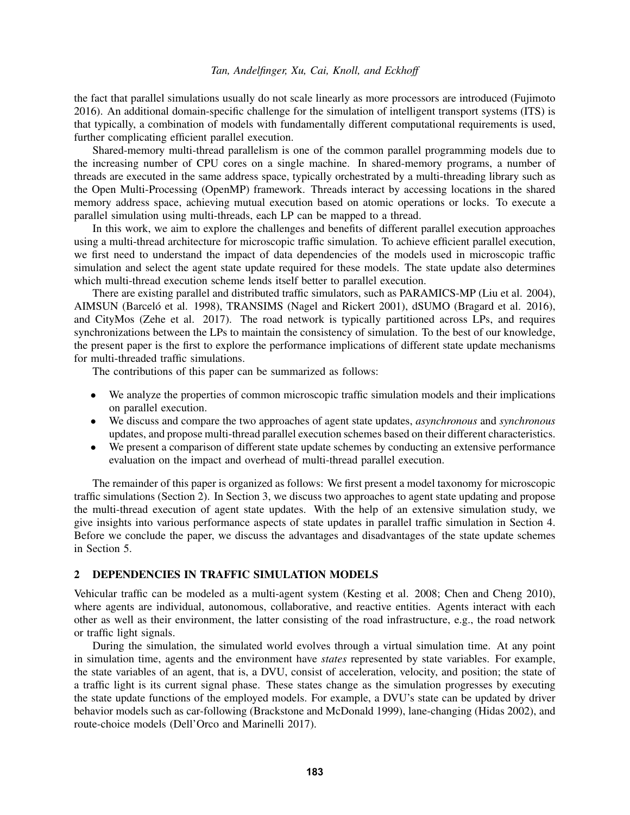the fact that parallel simulations usually do not scale linearly as more processors are introduced [\(Fujimoto](#page-10-0) [2016\)](#page-10-0). An additional domain-specific challenge for the simulation of intelligent transport systems (ITS) is that typically, a combination of models with fundamentally different computational requirements is used, further complicating efficient parallel execution.

Shared-memory multi-thread parallelism is one of the common parallel programming models due to the increasing number of CPU cores on a single machine. In shared-memory programs, a number of threads are executed in the same address space, typically orchestrated by a multi-threading library such as the Open Multi-Processing (OpenMP) framework. Threads interact by accessing locations in the shared memory address space, achieving mutual execution based on atomic operations or locks. To execute a parallel simulation using multi-threads, each LP can be mapped to a thread.

In this work, we aim to explore the challenges and benefits of different parallel execution approaches using a multi-thread architecture for microscopic traffic simulation. To achieve efficient parallel execution, we first need to understand the impact of data dependencies of the models used in microscopic traffic simulation and select the agent state update required for these models. The state update also determines which multi-thread execution scheme lends itself better to parallel execution.

There are existing parallel and distributed traffic simulators, such as PARAMICS-MP [\(Liu et al. 2004\)](#page-10-1), AIMSUN (Barceló et al. 1998), TRANSIMS [\(Nagel and Rickert 2001\)](#page-11-0), dSUMO [\(Bragard et al. 2016\)](#page-10-3), and CityMos [\(Zehe et al. 2017\)](#page-11-1). The road network is typically partitioned across LPs, and requires synchronizations between the LPs to maintain the consistency of simulation. To the best of our knowledge, the present paper is the first to explore the performance implications of different state update mechanisms for multi-threaded traffic simulations.

The contributions of this paper can be summarized as follows:

- We analyze the properties of common microscopic traffic simulation models and their implications on parallel execution.
- We discuss and compare the two approaches of agent state updates, *asynchronous* and *synchronous* updates, and propose multi-thread parallel execution schemes based on their different characteristics.
- We present a comparison of different state update schemes by conducting an extensive performance evaluation on the impact and overhead of multi-thread parallel execution.

The remainder of this paper is organized as follows: We first present a model taxonomy for microscopic traffic simulations (Section [2\)](#page-1-0). In Section [3,](#page-3-0) we discuss two approaches to agent state updating and propose the multi-thread execution of agent state updates. With the help of an extensive simulation study, we give insights into various performance aspects of state updates in parallel traffic simulation in Section [4.](#page-6-0) Before we conclude the paper, we discuss the advantages and disadvantages of the state update schemes in Section [5.](#page-9-0)

# <span id="page-1-0"></span>2 DEPENDENCIES IN TRAFFIC SIMULATION MODELS

Vehicular traffic can be modeled as a multi-agent system [\(Kesting et al. 2008;](#page-10-4) [Chen and Cheng 2010\)](#page-10-5), where agents are individual, autonomous, collaborative, and reactive entities. Agents interact with each other as well as their environment, the latter consisting of the road infrastructure, e.g., the road network or traffic light signals.

During the simulation, the simulated world evolves through a virtual simulation time. At any point in simulation time, agents and the environment have *states* represented by state variables. For example, the state variables of an agent, that is, a DVU, consist of acceleration, velocity, and position; the state of a traffic light is its current signal phase. These states change as the simulation progresses by executing the state update functions of the employed models. For example, a DVU's state can be updated by driver behavior models such as car-following [\(Brackstone and McDonald 1999\)](#page-10-6), lane-changing [\(Hidas 2002\)](#page-10-7), and route-choice models [\(Dell'Orco and Marinelli 2017\)](#page-10-8).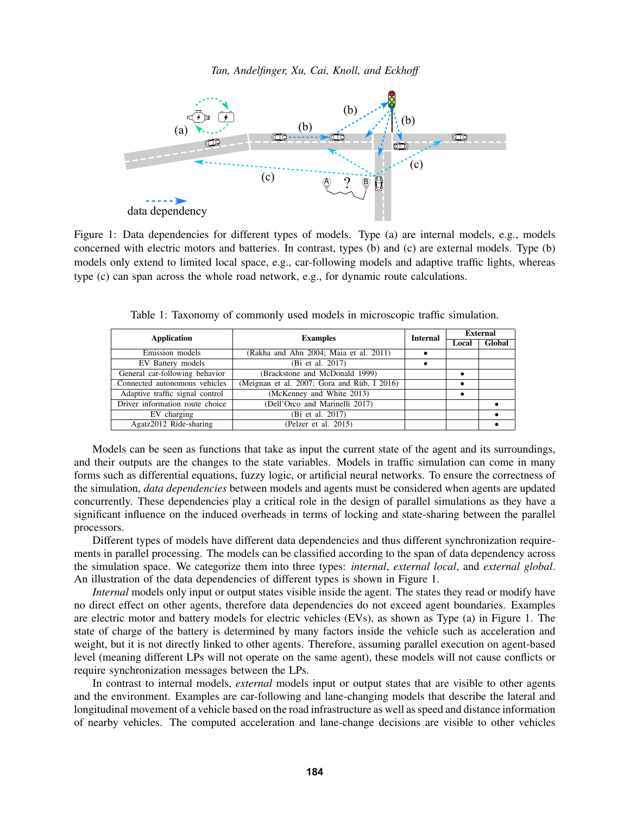<span id="page-2-0"></span>

Figure 1: Data dependencies for different types of models. Type (a) are internal models, e.g., models concerned with electric motors and batteries. In contrast, types (b) and (c) are external models. Type (b) models only extend to limited local space, e.g., car-following models and adaptive traffic lights, whereas type (c) can span across the whole road network, e.g., for dynamic route calculations.

<span id="page-2-1"></span>

| Application                     | <b>Examples</b>                             | <b>Internal</b> | <b>External</b> |  |
|---------------------------------|---------------------------------------------|-----------------|-----------------|--|
|                                 |                                             |                 | Local           |  |
| Emission models                 | (Rakha and Ahn 2004; Maia et al. 2011)      |                 |                 |  |
| EV Battery models               | (Bi et al. 2017)                            |                 |                 |  |
| General car-following behavior  | (Brackstone and McDonald 1999)              |                 |                 |  |
| Connected autonomous vehicles   | (Meignan et al. 2007; Gora and Rüb, I 2016) |                 |                 |  |
| Adaptive traffic signal control | (McKenney and White 2013)                   |                 |                 |  |
| Driver information route choice | (Dell'Orco and Marinelli 2017)              |                 |                 |  |
| EV charging                     | (Bi et al. 2017)                            |                 |                 |  |
| Agatz2012 Ride-sharing          | (Pelzer et al. 2015)                        |                 |                 |  |

Table 1: Taxonomy of commonly used models in microscopic traffic simulation.

Models can be seen as functions that take as input the current state of the agent and its surroundings, and their outputs are the changes to the state variables. Models in traffic simulation can come in many forms such as differential equations, fuzzy logic, or artificial neural networks. To ensure the correctness of the simulation, *data dependencies* between models and agents must be considered when agents are updated concurrently. These dependencies play a critical role in the design of parallel simulations as they have a significant influence on the induced overheads in terms of locking and state-sharing between the parallel processors.

Different types of models have different data dependencies and thus different synchronization requirements in parallel processing. The models can be classified according to the span of data dependency across the simulation space. We categorize them into three types: *internal*, *external local*, and *external global*. An illustration of the data dependencies of different types is shown in Figure [1.](#page-2-0)

*Internal* models only input or output states visible inside the agent. The states they read or modify have no direct effect on other agents, therefore data dependencies do not exceed agent boundaries. Examples are electric motor and battery models for electric vehicles (EVs), as shown as Type (a) in Figure [1.](#page-2-0) The state of charge of the battery is determined by many factors inside the vehicle such as acceleration and weight, but it is not directly linked to other agents. Therefore, assuming parallel execution on agent-based level (meaning different LPs will not operate on the same agent), these models will not cause conflicts or require synchronization messages between the LPs.

In contrast to internal models, *external* models input or output states that are visible to other agents and the environment. Examples are car-following and lane-changing models that describe the lateral and longitudinal movement of a vehicle based on the road infrastructure as well as speed and distance information of nearby vehicles. The computed acceleration and lane-change decisions are visible to other vehicles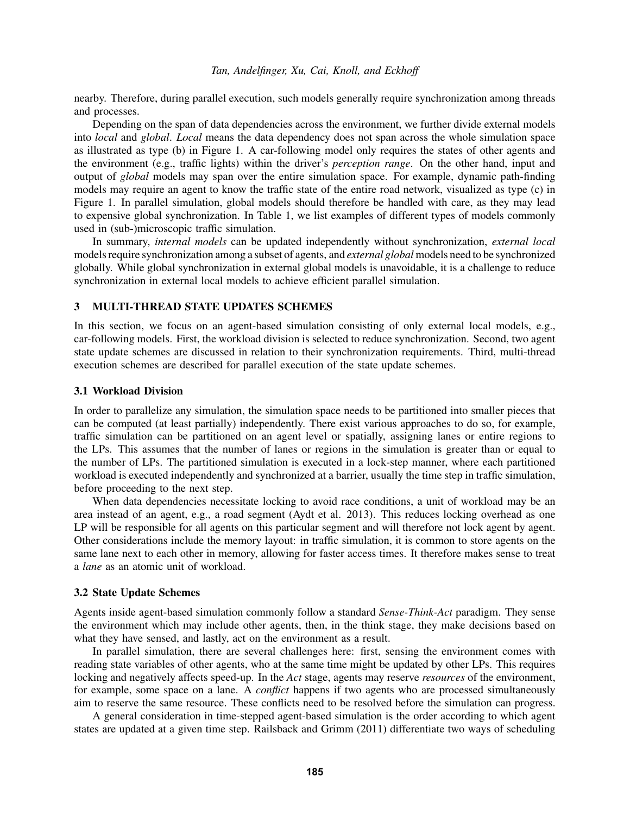nearby. Therefore, during parallel execution, such models generally require synchronization among threads and processes.

Depending on the span of data dependencies across the environment, we further divide external models into *local* and *global*. *Local* means the data dependency does not span across the whole simulation space as illustrated as type (b) in Figure [1.](#page-2-0) A car-following model only requires the states of other agents and the environment (e.g., traffic lights) within the driver's *perception range*. On the other hand, input and output of *global* models may span over the entire simulation space. For example, dynamic path-finding models may require an agent to know the traffic state of the entire road network, visualized as type (c) in Figure [1.](#page-2-0) In parallel simulation, global models should therefore be handled with care, as they may lead to expensive global synchronization. In Table [1,](#page-2-1) we list examples of different types of models commonly used in (sub-)microscopic traffic simulation.

In summary, *internal models* can be updated independently without synchronization, *external local* models require synchronization among a subset of agents, and *external global* models need to be synchronized globally. While global synchronization in external global models is unavoidable, it is a challenge to reduce synchronization in external local models to achieve efficient parallel simulation.

# <span id="page-3-0"></span>3 MULTI-THREAD STATE UPDATES SCHEMES

In this section, we focus on an agent-based simulation consisting of only external local models, e.g., car-following models. First, the workload division is selected to reduce synchronization. Second, two agent state update schemes are discussed in relation to their synchronization requirements. Third, multi-thread execution schemes are described for parallel execution of the state update schemes.

#### 3.1 Workload Division

In order to parallelize any simulation, the simulation space needs to be partitioned into smaller pieces that can be computed (at least partially) independently. There exist various approaches to do so, for example, traffic simulation can be partitioned on an agent level or spatially, assigning lanes or entire regions to the LPs. This assumes that the number of lanes or regions in the simulation is greater than or equal to the number of LPs. The partitioned simulation is executed in a lock-step manner, where each partitioned workload is executed independently and synchronized at a barrier, usually the time step in traffic simulation, before proceeding to the next step.

When data dependencies necessitate locking to avoid race conditions, a unit of workload may be an area instead of an agent, e.g., a road segment [\(Aydt et al. 2013\)](#page-10-11). This reduces locking overhead as one LP will be responsible for all agents on this particular segment and will therefore not lock agent by agent. Other considerations include the memory layout: in traffic simulation, it is common to store agents on the same lane next to each other in memory, allowing for faster access times. It therefore makes sense to treat a *lane* as an atomic unit of workload.

#### 3.2 State Update Schemes

Agents inside agent-based simulation commonly follow a standard *Sense-Think-Act* paradigm. They sense the environment which may include other agents, then, in the think stage, they make decisions based on what they have sensed, and lastly, act on the environment as a result.

In parallel simulation, there are several challenges here: first, sensing the environment comes with reading state variables of other agents, who at the same time might be updated by other LPs. This requires locking and negatively affects speed-up. In the *Act* stage, agents may reserve *resources* of the environment, for example, some space on a lane. A *conflict* happens if two agents who are processed simultaneously aim to reserve the same resource. These conflicts need to be resolved before the simulation can progress.

A general consideration in time-stepped agent-based simulation is the order according to which agent states are updated at a given time step. [Railsback and Grimm \(2011\)](#page-11-7) differentiate two ways of scheduling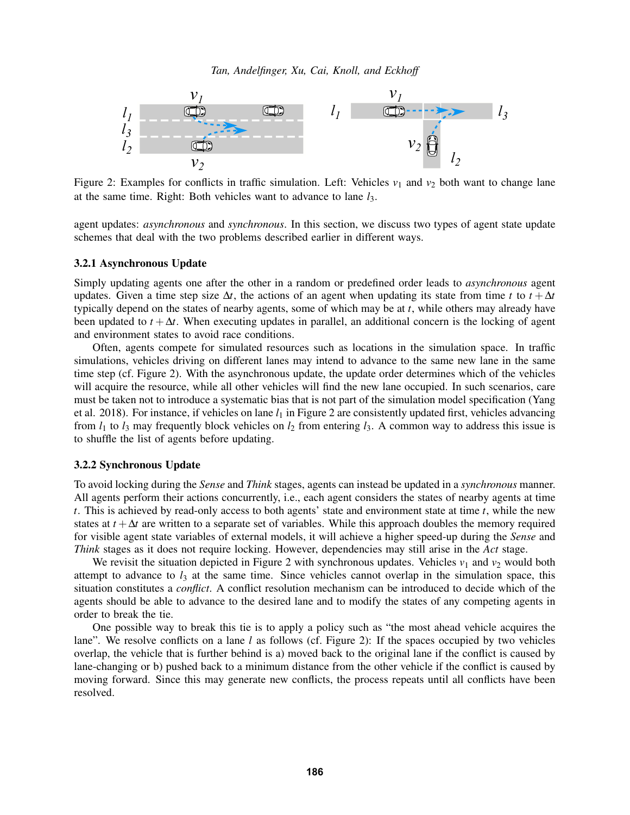<span id="page-4-0"></span>

Figure 2: Examples for conflicts in traffic simulation. Left: Vehicles  $v_1$  and  $v_2$  both want to change lane at the same time. Right: Both vehicles want to advance to lane *l*3.

agent updates: *asynchronous* and *synchronous*. In this section, we discuss two types of agent state update schemes that deal with the two problems described earlier in different ways.

#### 3.2.1 Asynchronous Update

Simply updating agents one after the other in a random or predefined order leads to *asynchronous* agent updates. Given a time step size  $\Delta t$ , the actions of an agent when updating its state from time *t* to  $t + \Delta t$ typically depend on the states of nearby agents, some of which may be at *t*, while others may already have been updated to  $t + \Delta t$ . When executing updates in parallel, an additional concern is the locking of agent and environment states to avoid race conditions.

Often, agents compete for simulated resources such as locations in the simulation space. In traffic simulations, vehicles driving on different lanes may intend to advance to the same new lane in the same time step (cf. Figure [2\)](#page-4-0). With the asynchronous update, the update order determines which of the vehicles will acquire the resource, while all other vehicles will find the new lane occupied. In such scenarios, care must be taken not to introduce a systematic bias that is not part of the simulation model specification [\(Yang](#page-11-8) [et al. 2018\)](#page-11-8). For instance, if vehicles on lane  $l_1$  in Figure [2](#page-4-0) are consistently updated first, vehicles advancing from  $l_1$  to  $l_3$  may frequently block vehicles on  $l_2$  from entering  $l_3$ . A common way to address this issue is to shuffle the list of agents before updating.

## 3.2.2 Synchronous Update

To avoid locking during the *Sense* and *Think* stages, agents can instead be updated in a *synchronous* manner. All agents perform their actions concurrently, i.e., each agent considers the states of nearby agents at time *t*. This is achieved by read-only access to both agents' state and environment state at time *t*, while the new states at  $t + \Delta t$  are written to a separate set of variables. While this approach doubles the memory required for visible agent state variables of external models, it will achieve a higher speed-up during the *Sense* and *Think* stages as it does not require locking. However, dependencies may still arise in the *Act* stage.

We revisit the situation depicted in Figure [2](#page-4-0) with synchronous updates. Vehicles  $v_1$  and  $v_2$  would both attempt to advance to  $l_3$  at the same time. Since vehicles cannot overlap in the simulation space, this situation constitutes a *conflict*. A conflict resolution mechanism can be introduced to decide which of the agents should be able to advance to the desired lane and to modify the states of any competing agents in order to break the tie.

One possible way to break this tie is to apply a policy such as "the most ahead vehicle acquires the lane". We resolve conflicts on a lane *l* as follows (cf. Figure [2\)](#page-4-0): If the spaces occupied by two vehicles overlap, the vehicle that is further behind is a) moved back to the original lane if the conflict is caused by lane-changing or b) pushed back to a minimum distance from the other vehicle if the conflict is caused by moving forward. Since this may generate new conflicts, the process repeats until all conflicts have been resolved.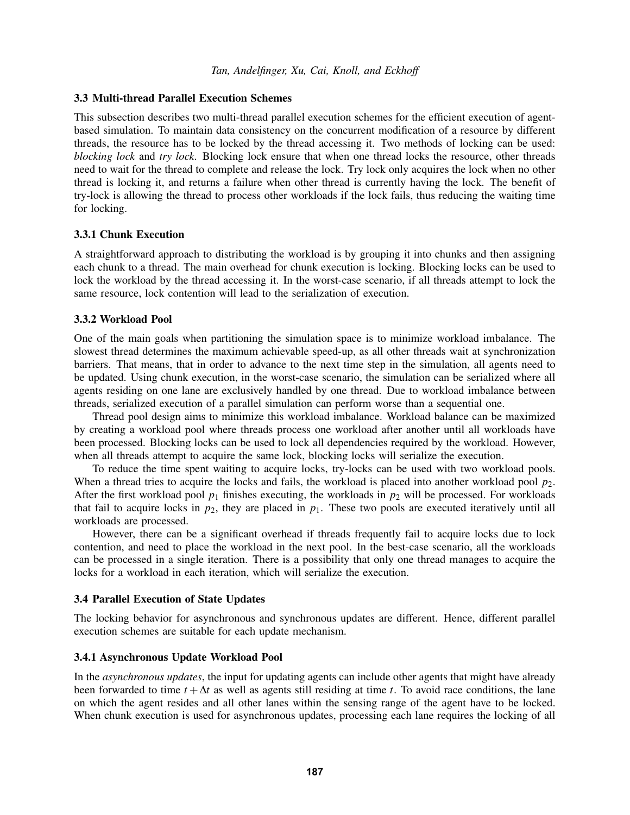#### 3.3 Multi-thread Parallel Execution Schemes

This subsection describes two multi-thread parallel execution schemes for the efficient execution of agentbased simulation. To maintain data consistency on the concurrent modification of a resource by different threads, the resource has to be locked by the thread accessing it. Two methods of locking can be used: *blocking lock* and *try lock*. Blocking lock ensure that when one thread locks the resource, other threads need to wait for the thread to complete and release the lock. Try lock only acquires the lock when no other thread is locking it, and returns a failure when other thread is currently having the lock. The benefit of try-lock is allowing the thread to process other workloads if the lock fails, thus reducing the waiting time for locking.

#### 3.3.1 Chunk Execution

A straightforward approach to distributing the workload is by grouping it into chunks and then assigning each chunk to a thread. The main overhead for chunk execution is locking. Blocking locks can be used to lock the workload by the thread accessing it. In the worst-case scenario, if all threads attempt to lock the same resource, lock contention will lead to the serialization of execution.

#### 3.3.2 Workload Pool

One of the main goals when partitioning the simulation space is to minimize workload imbalance. The slowest thread determines the maximum achievable speed-up, as all other threads wait at synchronization barriers. That means, that in order to advance to the next time step in the simulation, all agents need to be updated. Using chunk execution, in the worst-case scenario, the simulation can be serialized where all agents residing on one lane are exclusively handled by one thread. Due to workload imbalance between threads, serialized execution of a parallel simulation can perform worse than a sequential one.

Thread pool design aims to minimize this workload imbalance. Workload balance can be maximized by creating a workload pool where threads process one workload after another until all workloads have been processed. Blocking locks can be used to lock all dependencies required by the workload. However, when all threads attempt to acquire the same lock, blocking locks will serialize the execution.

To reduce the time spent waiting to acquire locks, try-locks can be used with two workload pools. When a thread tries to acquire the locks and fails, the workload is placed into another workload pool  $p_2$ . After the first workload pool  $p_1$  finishes executing, the workloads in  $p_2$  will be processed. For workloads that fail to acquire locks in  $p_2$ , they are placed in  $p_1$ . These two pools are executed iteratively until all workloads are processed.

However, there can be a significant overhead if threads frequently fail to acquire locks due to lock contention, and need to place the workload in the next pool. In the best-case scenario, all the workloads can be processed in a single iteration. There is a possibility that only one thread manages to acquire the locks for a workload in each iteration, which will serialize the execution.

### 3.4 Parallel Execution of State Updates

The locking behavior for asynchronous and synchronous updates are different. Hence, different parallel execution schemes are suitable for each update mechanism.

## 3.4.1 Asynchronous Update Workload Pool

In the *asynchronous updates*, the input for updating agents can include other agents that might have already been forwarded to time  $t + \Delta t$  as well as agents still residing at time *t*. To avoid race conditions, the lane on which the agent resides and all other lanes within the sensing range of the agent have to be locked. When chunk execution is used for asynchronous updates, processing each lane requires the locking of all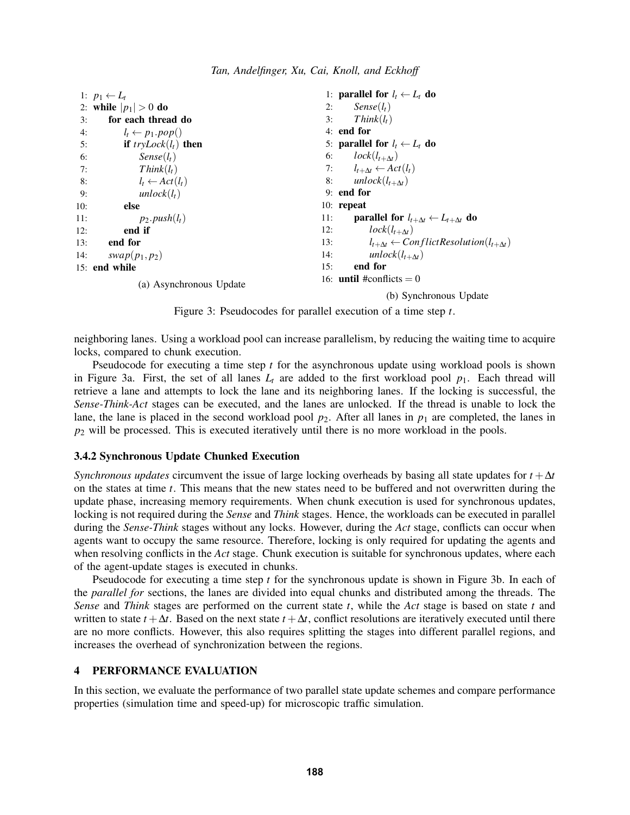<span id="page-6-1"></span>

|     | 1: $p_1 \leftarrow L_t$    | 1: parallel for $l_t \leftarrow L_t$ do                                    |  |
|-----|----------------------------|----------------------------------------------------------------------------|--|
|     | 2: while $ p_1  > 0$ do    | 2: $Sense(l_t)$                                                            |  |
| 3:  | for each thread do         | $Think(l_t)$<br>3:                                                         |  |
| 4:  | $l_t \leftarrow p_1.pop()$ | $4:$ end for                                                               |  |
| 5:  | if $tryLock(l_t)$ then     | 5: parallel for $l_t \leftarrow L_t$ do                                    |  |
| 6:  | $Sense(l_t)$               | 6: $lock(l_{t+\Delta t})$                                                  |  |
| 7:  | $Think(l_t)$               | 7: $l_{t+\Delta t} \leftarrow Act(l_t)$                                    |  |
| 8:  | $l_t \leftarrow Act(l_t)$  | 8: $unlock(l_{t+\Delta t})$                                                |  |
| 9:  | $unlock(l_t)$              | $9:$ end for                                                               |  |
| 10: | else                       | $10:$ repeat                                                               |  |
| 11: | $p_2.push(l_t)$            | <b>parallel for</b> $l_{t+\Delta t} \leftarrow L_{t+\Delta t}$ do<br>11:   |  |
| 12: | end if                     | $lock(l_{t+\Delta t})$<br>12:                                              |  |
| 13: | end for                    | $l_{t+\Delta t} \leftarrow$ Conflict Resolution( $l_{t+\Delta t}$ )<br>13: |  |
|     | 14: $swap(p_1, p_2)$       | unlock $(l_{t+\Delta t})$<br>14:                                           |  |
|     | 15: end while              | end for<br>15:                                                             |  |
|     | (a) Asynchronous Update    | 16: <b>until</b> #conflicts $= 0$                                          |  |

(b) Synchronous Update

Figure 3: Pseudocodes for parallel execution of a time step *t*.

neighboring lanes. Using a workload pool can increase parallelism, by reducing the waiting time to acquire locks, compared to chunk execution.

Pseudocode for executing a time step *t* for the asynchronous update using workload pools is shown in Figure [3a.](#page-6-1) First, the set of all lanes  $L_t$  are added to the first workload pool  $p_1$ . Each thread will retrieve a lane and attempts to lock the lane and its neighboring lanes. If the locking is successful, the *Sense-Think-Act* stages can be executed, and the lanes are unlocked. If the thread is unable to lock the lane, the lane is placed in the second workload pool  $p_2$ . After all lanes in  $p_1$  are completed, the lanes in *p*<sup>2</sup> will be processed. This is executed iteratively until there is no more workload in the pools.

# 3.4.2 Synchronous Update Chunked Execution

*Synchronous updates* circumvent the issue of large locking overheads by basing all state updates for *t* +∆*t* on the states at time *t*. This means that the new states need to be buffered and not overwritten during the update phase, increasing memory requirements. When chunk execution is used for synchronous updates, locking is not required during the *Sense* and *Think* stages. Hence, the workloads can be executed in parallel during the *Sense-Think* stages without any locks. However, during the *Act* stage, conflicts can occur when agents want to occupy the same resource. Therefore, locking is only required for updating the agents and when resolving conflicts in the *Act* stage. Chunk execution is suitable for synchronous updates, where each of the agent-update stages is executed in chunks.

Pseudocode for executing a time step *t* for the synchronous update is shown in Figure [3b.](#page-6-1) In each of the *parallel for* sections, the lanes are divided into equal chunks and distributed among the threads. The *Sense* and *Think* stages are performed on the current state *t*, while the *Act* stage is based on state *t* and written to state  $t + \Delta t$ . Based on the next state  $t + \Delta t$ , conflict resolutions are iteratively executed until there are no more conflicts. However, this also requires splitting the stages into different parallel regions, and increases the overhead of synchronization between the regions.

# <span id="page-6-0"></span>4 PERFORMANCE EVALUATION

In this section, we evaluate the performance of two parallel state update schemes and compare performance properties (simulation time and speed-up) for microscopic traffic simulation.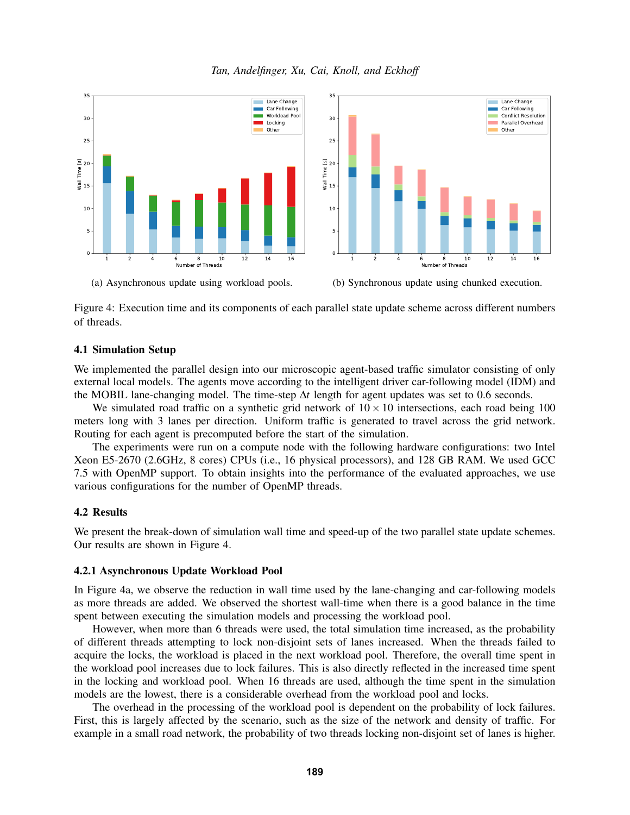

<span id="page-7-0"></span>

(a) Asynchronous update using workload pools.

(b) Synchronous update using chunked execution.

Figure 4: Execution time and its components of each parallel state update scheme across different numbers of threads.

## 4.1 Simulation Setup

We implemented the parallel design into our microscopic agent-based traffic simulator consisting of only external local models. The agents move according to the intelligent driver car-following model (IDM) and the MOBIL lane-changing model. The time-step ∆*t* length for agent updates was set to 0.6 seconds.

We simulated road traffic on a synthetic grid network of  $10 \times 10$  intersections, each road being 100 meters long with 3 lanes per direction. Uniform traffic is generated to travel across the grid network. Routing for each agent is precomputed before the start of the simulation.

The experiments were run on a compute node with the following hardware configurations: two Intel Xeon E5-2670 (2.6GHz, 8 cores) CPUs (i.e., 16 physical processors), and 128 GB RAM. We used GCC 7.5 with OpenMP support. To obtain insights into the performance of the evaluated approaches, we use various configurations for the number of OpenMP threads.

## 4.2 Results

We present the break-down of simulation wall time and speed-up of the two parallel state update schemes. Our results are shown in Figure [4.](#page-7-0)

# 4.2.1 Asynchronous Update Workload Pool

In Figure [4a,](#page-7-0) we observe the reduction in wall time used by the lane-changing and car-following models as more threads are added. We observed the shortest wall-time when there is a good balance in the time spent between executing the simulation models and processing the workload pool.

However, when more than 6 threads were used, the total simulation time increased, as the probability of different threads attempting to lock non-disjoint sets of lanes increased. When the threads failed to acquire the locks, the workload is placed in the next workload pool. Therefore, the overall time spent in the workload pool increases due to lock failures. This is also directly reflected in the increased time spent in the locking and workload pool. When 16 threads are used, although the time spent in the simulation models are the lowest, there is a considerable overhead from the workload pool and locks.

The overhead in the processing of the workload pool is dependent on the probability of lock failures. First, this is largely affected by the scenario, such as the size of the network and density of traffic. For example in a small road network, the probability of two threads locking non-disjoint set of lanes is higher.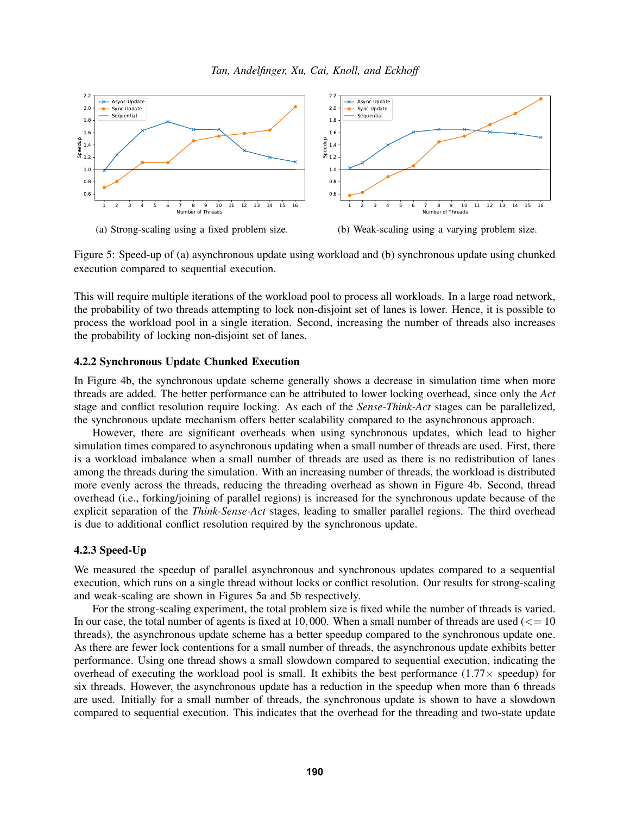<span id="page-8-0"></span>



(b) Weak-scaling using a varying problem size.

Figure 5: Speed-up of (a) asynchronous update using workload and (b) synchronous update using chunked execution compared to sequential execution.

This will require multiple iterations of the workload pool to process all workloads. In a large road network, the probability of two threads attempting to lock non-disjoint set of lanes is lower. Hence, it is possible to process the workload pool in a single iteration. Second, increasing the number of threads also increases the probability of locking non-disjoint set of lanes.

# 4.2.2 Synchronous Update Chunked Execution

In Figure [4b,](#page-7-0) the synchronous update scheme generally shows a decrease in simulation time when more threads are added. The better performance can be attributed to lower locking overhead, since only the *Act* stage and conflict resolution require locking. As each of the *Sense-Think-Act* stages can be parallelized, the synchronous update mechanism offers better scalability compared to the asynchronous approach.

However, there are significant overheads when using synchronous updates, which lead to higher simulation times compared to asynchronous updating when a small number of threads are used. First, there is a workload imbalance when a small number of threads are used as there is no redistribution of lanes among the threads during the simulation. With an increasing number of threads, the workload is distributed more evenly across the threads, reducing the threading overhead as shown in Figure [4b.](#page-7-0) Second, thread overhead (i.e., forking/joining of parallel regions) is increased for the synchronous update because of the explicit separation of the *Think-Sense-Act* stages, leading to smaller parallel regions. The third overhead is due to additional conflict resolution required by the synchronous update.

# 4.2.3 Speed-Up

We measured the speedup of parallel asynchronous and synchronous updates compared to a sequential execution, which runs on a single thread without locks or conflict resolution. Our results for strong-scaling and weak-scaling are shown in Figures [5a](#page-8-0) and [5b](#page-8-0) respectively.

For the strong-scaling experiment, the total problem size is fixed while the number of threads is varied. In our case, the total number of agents is fixed at 10,000. When a small number of threads are used  $\ll$  = 10 threads), the asynchronous update scheme has a better speedup compared to the synchronous update one. As there are fewer lock contentions for a small number of threads, the asynchronous update exhibits better performance. Using one thread shows a small slowdown compared to sequential execution, indicating the overhead of executing the workload pool is small. It exhibits the best performance  $(1.77 \times$  speedup) for six threads. However, the asynchronous update has a reduction in the speedup when more than 6 threads are used. Initially for a small number of threads, the synchronous update is shown to have a slowdown compared to sequential execution. This indicates that the overhead for the threading and two-state update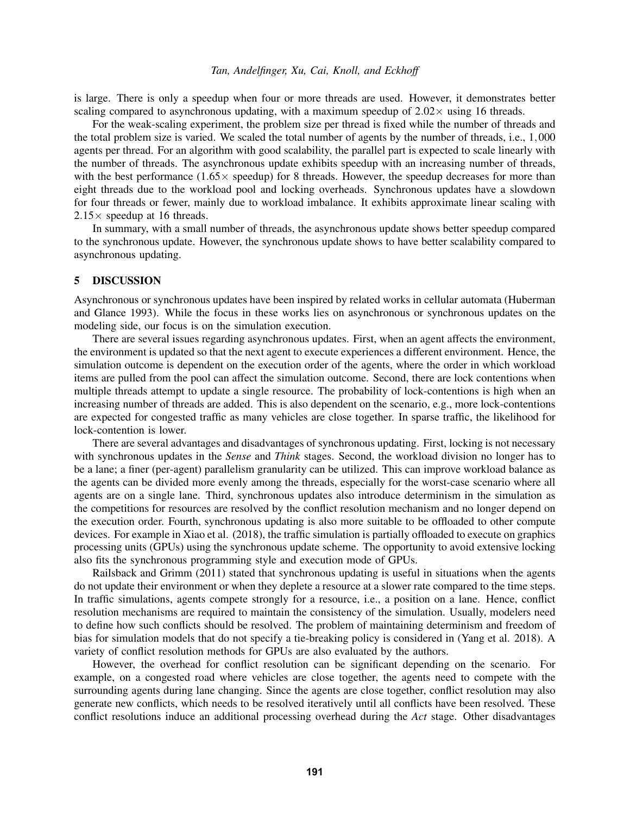is large. There is only a speedup when four or more threads are used. However, it demonstrates better scaling compared to asynchronous updating, with a maximum speedup of  $2.02 \times$  using 16 threads.

For the weak-scaling experiment, the problem size per thread is fixed while the number of threads and the total problem size is varied. We scaled the total number of agents by the number of threads, i.e., 1,000 agents per thread. For an algorithm with good scalability, the parallel part is expected to scale linearly with the number of threads. The asynchronous update exhibits speedup with an increasing number of threads, with the best performance  $(1.65 \times$  speedup) for 8 threads. However, the speedup decreases for more than eight threads due to the workload pool and locking overheads. Synchronous updates have a slowdown for four threads or fewer, mainly due to workload imbalance. It exhibits approximate linear scaling with  $2.15\times$  speedup at 16 threads.

In summary, with a small number of threads, the asynchronous update shows better speedup compared to the synchronous update. However, the synchronous update shows to have better scalability compared to asynchronous updating.

## <span id="page-9-0"></span>5 DISCUSSION

Asynchronous or synchronous updates have been inspired by related works in cellular automata [\(Huberman](#page-10-12) [and Glance 1993\)](#page-10-12). While the focus in these works lies on asynchronous or synchronous updates on the modeling side, our focus is on the simulation execution.

There are several issues regarding asynchronous updates. First, when an agent affects the environment, the environment is updated so that the next agent to execute experiences a different environment. Hence, the simulation outcome is dependent on the execution order of the agents, where the order in which workload items are pulled from the pool can affect the simulation outcome. Second, there are lock contentions when multiple threads attempt to update a single resource. The probability of lock-contentions is high when an increasing number of threads are added. This is also dependent on the scenario, e.g., more lock-contentions are expected for congested traffic as many vehicles are close together. In sparse traffic, the likelihood for lock-contention is lower.

There are several advantages and disadvantages of synchronous updating. First, locking is not necessary with synchronous updates in the *Sense* and *Think* stages. Second, the workload division no longer has to be a lane; a finer (per-agent) parallelism granularity can be utilized. This can improve workload balance as the agents can be divided more evenly among the threads, especially for the worst-case scenario where all agents are on a single lane. Third, synchronous updates also introduce determinism in the simulation as the competitions for resources are resolved by the conflict resolution mechanism and no longer depend on the execution order. Fourth, synchronous updating is also more suitable to be offloaded to other compute devices. For example in [Xiao et al. \(2018\),](#page-11-9) the traffic simulation is partially offloaded to execute on graphics processing units (GPUs) using the synchronous update scheme. The opportunity to avoid extensive locking also fits the synchronous programming style and execution mode of GPUs.

[Railsback and Grimm \(2011\)](#page-11-7) stated that synchronous updating is useful in situations when the agents do not update their environment or when they deplete a resource at a slower rate compared to the time steps. In traffic simulations, agents compete strongly for a resource, i.e., a position on a lane. Hence, conflict resolution mechanisms are required to maintain the consistency of the simulation. Usually, modelers need to define how such conflicts should be resolved. The problem of maintaining determinism and freedom of bias for simulation models that do not specify a tie-breaking policy is considered in [\(Yang et al. 2018\)](#page-11-8). A variety of conflict resolution methods for GPUs are also evaluated by the authors.

However, the overhead for conflict resolution can be significant depending on the scenario. For example, on a congested road where vehicles are close together, the agents need to compete with the surrounding agents during lane changing. Since the agents are close together, conflict resolution may also generate new conflicts, which needs to be resolved iteratively until all conflicts have been resolved. These conflict resolutions induce an additional processing overhead during the *Act* stage. Other disadvantages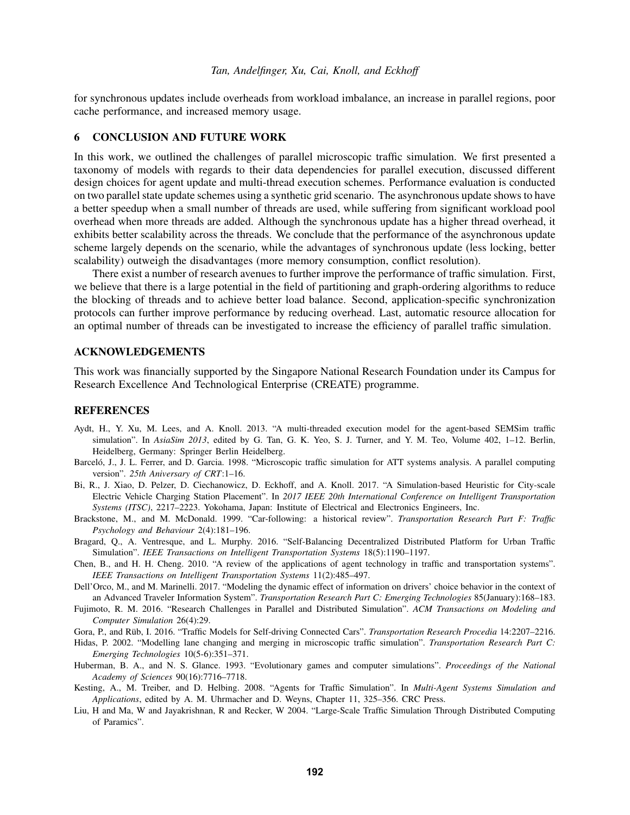for synchronous updates include overheads from workload imbalance, an increase in parallel regions, poor cache performance, and increased memory usage.

# 6 CONCLUSION AND FUTURE WORK

In this work, we outlined the challenges of parallel microscopic traffic simulation. We first presented a taxonomy of models with regards to their data dependencies for parallel execution, discussed different design choices for agent update and multi-thread execution schemes. Performance evaluation is conducted on two parallel state update schemes using a synthetic grid scenario. The asynchronous update shows to have a better speedup when a small number of threads are used, while suffering from significant workload pool overhead when more threads are added. Although the synchronous update has a higher thread overhead, it exhibits better scalability across the threads. We conclude that the performance of the asynchronous update scheme largely depends on the scenario, while the advantages of synchronous update (less locking, better scalability) outweigh the disadvantages (more memory consumption, conflict resolution).

There exist a number of research avenues to further improve the performance of traffic simulation. First, we believe that there is a large potential in the field of partitioning and graph-ordering algorithms to reduce the blocking of threads and to achieve better load balance. Second, application-specific synchronization protocols can further improve performance by reducing overhead. Last, automatic resource allocation for an optimal number of threads can be investigated to increase the efficiency of parallel traffic simulation.

#### ACKNOWLEDGEMENTS

This work was financially supported by the Singapore National Research Foundation under its Campus for Research Excellence And Technological Enterprise (CREATE) programme.

## **REFERENCES**

- <span id="page-10-11"></span>Aydt, H., Y. Xu, M. Lees, and A. Knoll. 2013. "A multi-threaded execution model for the agent-based SEMSim traffic simulation". In *AsiaSim 2013*, edited by G. Tan, G. K. Yeo, S. J. Turner, and Y. M. Teo, Volume 402, 1–12. Berlin, Heidelberg, Germany: Springer Berlin Heidelberg.
- <span id="page-10-2"></span>Barceló, J., J. L. Ferrer, and D. Garcia. 1998. "Microscopic traffic simulation for ATT systems analysis. A parallel computing version". *25th Aniversary of CRT*:1–16.
- <span id="page-10-9"></span>Bi, R., J. Xiao, D. Pelzer, D. Ciechanowicz, D. Eckhoff, and A. Knoll. 2017. "A Simulation-based Heuristic for City-scale Electric Vehicle Charging Station Placement". In *2017 IEEE 20th International Conference on Intelligent Transportation Systems (ITSC)*, 2217–2223. Yokohama, Japan: Institute of Electrical and Electronics Engineers, Inc.
- <span id="page-10-6"></span>Brackstone, M., and M. McDonald. 1999. "Car-following: a historical review". *Transportation Research Part F: Traffic Psychology and Behaviour* 2(4):181–196.
- <span id="page-10-3"></span>Bragard, Q., A. Ventresque, and L. Murphy. 2016. "Self-Balancing Decentralized Distributed Platform for Urban Traffic Simulation". *IEEE Transactions on Intelligent Transportation Systems* 18(5):1190–1197.
- <span id="page-10-5"></span>Chen, B., and H. H. Cheng. 2010. "A review of the applications of agent technology in traffic and transportation systems". *IEEE Transactions on Intelligent Transportation Systems* 11(2):485–497.
- <span id="page-10-8"></span>Dell'Orco, M., and M. Marinelli. 2017. "Modeling the dynamic effect of information on drivers' choice behavior in the context of an Advanced Traveler Information System". *Transportation Research Part C: Emerging Technologies* 85(January):168–183.
- <span id="page-10-0"></span>Fujimoto, R. M. 2016. "Research Challenges in Parallel and Distributed Simulation". *ACM Transactions on Modeling and Computer Simulation* 26(4):29.
- <span id="page-10-10"></span>Gora, P., and Rüb, I. 2016. "Traffic Models for Self-driving Connected Cars". *Transportation Research Procedia* 14:2207-2216.
- <span id="page-10-7"></span>Hidas, P. 2002. "Modelling lane changing and merging in microscopic traffic simulation". *Transportation Research Part C: Emerging Technologies* 10(5-6):351–371.
- <span id="page-10-12"></span>Huberman, B. A., and N. S. Glance. 1993. "Evolutionary games and computer simulations". *Proceedings of the National Academy of Sciences* 90(16):7716–7718.
- <span id="page-10-4"></span>Kesting, A., M. Treiber, and D. Helbing. 2008. "Agents for Traffic Simulation". In *Multi-Agent Systems Simulation and Applications*, edited by A. M. Uhrmacher and D. Weyns, Chapter 11, 325–356. CRC Press.
- <span id="page-10-1"></span>Liu, H and Ma, W and Jayakrishnan, R and Recker, W 2004. "Large-Scale Traffic Simulation Through Distributed Computing of Paramics".